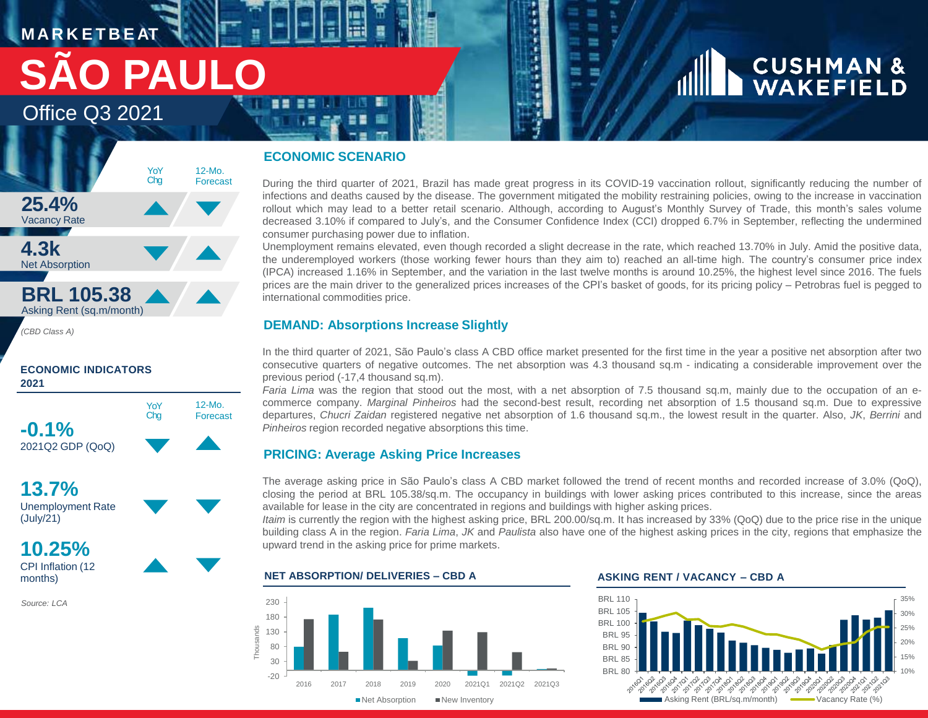# **M A R K E T B E AT** Office Q3 2021 **SÃO PAUL**

# YoY Chg 12-Mo. Forecast **25.4%** Vacancy Rate **4.3k** Net Absorption **BRL 105.38** Asking Rent (sq.m/month)

*(CBD Class A)*

# **ECONOMIC INDICATORS 2021**



**13.7%** Unemployment Rate (July/21)

**10.25%** CPI Inflation (12 months)

*Source: LCA*

# **ECONOMIC SCENARIO**

During the third quarter of 2021, Brazil has made great progress in its COVID-19 vaccination rollout, significantly reducing the number of infections and deaths caused by the disease. The government mitigated the mobility restraining policies, owing to the increase in vaccination rollout which may lead to a better retail scenario. Although, according to August's Monthly Survey of Trade, this month's sales volume decreased 3.10% if compared to July's, and the Consumer Confidence Index (CCI) dropped 6.7% in September, reflecting the undermined consumer purchasing power due to inflation.

a.

Unemployment remains elevated, even though recorded a slight decrease in the rate, which reached 13.70% in July. Amid the positive data, the underemployed workers (those working fewer hours than they aim to) reached an all-time high. The country's consumer price index (IPCA) increased 1.16% in September, and the variation in the last twelve months is around 10.25%, the highest level since 2016. The fuels prices are the main driver to the generalized prices increases of the CPI's basket of goods, for its pricing policy – Petrobras fuel is pegged to international commodities price.

# **DEMAND: Absorptions Increase Slightly**

In the third quarter of 2021, São Paulo's class A CBD office market presented for the first time in the year a positive net absorption after two consecutive quarters of negative outcomes. The net absorption was 4.3 thousand sq.m - indicating a considerable improvement over the previous period (-17,4 thousand sq.m).

*Faria Lima* was the region that stood out the most, with a net absorption of 7.5 thousand sq.m, mainly due to the occupation of an ecommerce company. *Marginal Pinheiros* had the second-best result, recording net absorption of 1.5 thousand sq.m. Due to expressive departures, *Chucri Zaidan* registered negative net absorption of 1.6 thousand sq.m., the lowest result in the quarter. Also, *JK*, *Berrini* and *Pinheiros* region recorded negative absorptions this time.

# **PRICING: Average Asking Price Increases**

The average asking price in São Paulo's class A CBD market followed the trend of recent months and recorded increase of 3.0% (QoQ), closing the period at BRL 105.38/sq.m. The occupancy in buildings with lower asking prices contributed to this increase, since the areas available for lease in the city are concentrated in regions and buildings with higher asking prices.

*Itaim* is currently the region with the highest asking price, BRL 200.00/sq.m. It has increased by 33% (QoQ) due to the price rise in the unique building class A in the region. *Faria Lima*, *JK* and *Paulista* also have one of the highest asking prices in the city, regions that emphasize the upward trend in the asking price for prime markets.

# **NET ABSORPTION/ DELIVERIES – CBD A ASKING RENT / VACANCY – CBD A**





**CUSHMAN &**<br>WAKEFIELD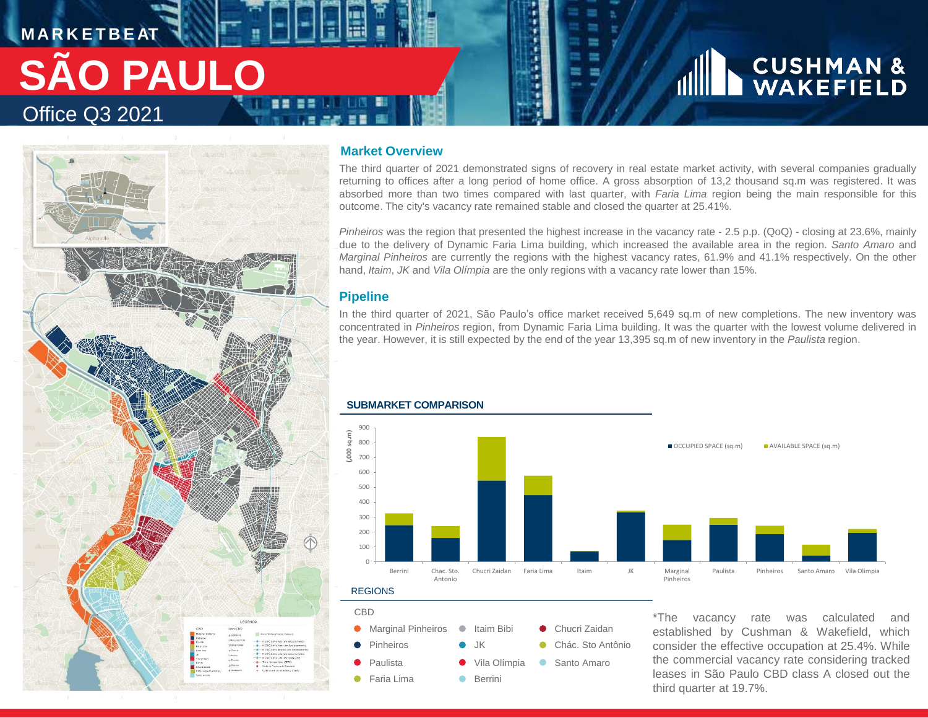# **M A R K E T B E AT** Office Q3 2021 **SÃO PAULO**



## **Market Overview**

The third quarter of 2021 demonstrated signs of recovery in real estate market activity, with several companies gradually returning to offices after a long period of home office. A gross absorption of 13,2 thousand sq.m was registered. It was absorbed more than two times compared with last quarter, with *Faria Lima* region being the main responsible for this outcome. The city's vacancy rate remained stable and closed the quarter at 25.41%.

*Pinheiros* was the region that presented the highest increase in the vacancy rate - 2.5 p.p. (QoQ) - closing at 23.6%, mainly due to the delivery of Dynamic Faria Lima building, which increased the available area in the region. *Santo Amaro* and *Marginal Pinheiros* are currently the regions with the highest vacancy rates, 61.9% and 41.1% respectively. On the other hand, *Itaim*, *JK* and *Vila Olímpia* are the only regions with a vacancy rate lower than 15%.

# **Pipeline**

In the third quarter of 2021, São Paulo's office market received 5,649 sq.m of new completions. The new inventory was concentrated in *Pinheiros* region, from Dynamic Faria Lima building. It was the quarter with the lowest volume delivered in the year. However, it is still expected by the end of the year 13,395 sq.m of new inventory in the *Paulista* region.



# **SUBMARKET COMPARISON**

CBD Marginal Pinheiros Chucri Zaidan Itaim Bibi Pinheiros JK Chác. Sto Antônio Paulista Vila Olímpia ● Santo Amaro Faria Lima  $\bullet$ Berrini

\*The vacancy rate was calculated and established by Cushman & Wakefield, which consider the effective occupation at 25.4%. While the commercial vacancy rate considering tracked leases in São Paulo CBD class A closed out the third quarter at 19.7%.

**CUSHMAN &**<br>WAKEFIELD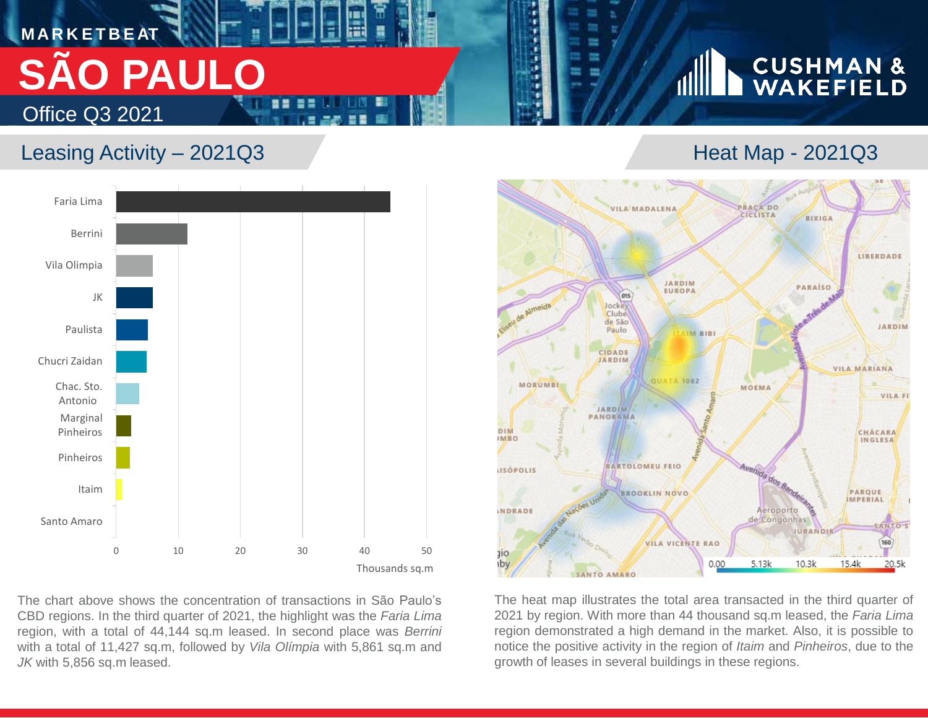# **M A R K E T B E AT** Office Q3 2021 **SÃO PAULO**

# Leasing Activity – 2021Q3 **Heat Map - 2021Q3**



The chart above shows the concentration of transactions in São Paulo's CBD regions. In the third quarter of 2021, the highlight was the *Faria Lima* region, with a total of 44,144 sq.m leased. In second place was *Berrini* with a total of 11,427 sq.m, followed by *Vila Olímpia* with 5,861 sq.m and *JK* with 5,856 sq.m leased.

# **CUSHMAN &**<br>WAKEFIELD



The heat map illustrates the total area transacted in the third quarter of 2021 by region. With more than 44 thousand sq.m leased, the *Faria Lima* region demonstrated a high demand in the market. Also, it is possible to notice the positive activity in the region of *Itaim* and *Pinheiros*, due to the growth of leases in several buildings in these regions.